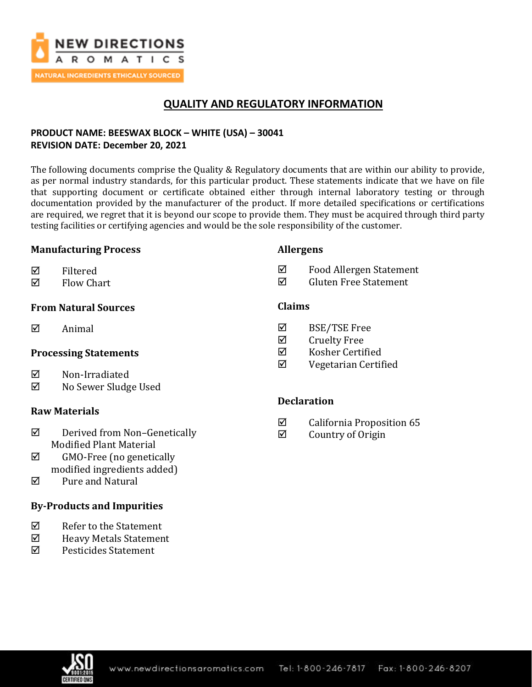

# **QUALITY AND REGULATORY INFORMATION**

## **PRODUCT NAME: BEESWAX BLOCK – WHITE (USA) – 30041 REVISION DATE: December 20, 2021**

The following documents comprise the Quality & Regulatory documents that are within our ability to provide, as per normal industry standards, for this particular product. These statements indicate that we have on file that supporting document or certificate obtained either through internal laboratory testing or through documentation provided by the manufacturer of the product. If more detailed specifications or certifications are required, we regret that it is beyond our scope to provide them. They must be acquired through third party testing facilities or certifying agencies and would be the sole responsibility of the customer.

#### **Manufacturing Process**

#### **Allergens**

- $\nabla$  Filtered
- $\boxtimes$  Flow Chart

### **From Natural Sources**

 $\boxtimes$  Animal

### **Processing Statements**

- **⊠** Non-Irradiated
- No Sewer Sludge Used

### **Raw Materials**

- $\boxtimes$  Derived from Non-Genetically Modified Plant Material
- $\boxtimes$  GMO-Free (no genetically modified ingredients added)
- Pure and Natural

### **By-Products and Impurities**

- $\nabla$  Refer to the Statement
- $\boxtimes$  Heavy Metals Statement
- Pesticides Statement
- **Claims**
- BSE/TSE Free
- $\boxtimes$  Cruelty Free
- Kosher Certified
- Vegetarian Certified

 Food Allergen Statement  $\boxtimes$  Gluten Free Statement

### **Declaration**

- $\boxtimes$  California Proposition 65
- $\boxtimes$  Country of Origin

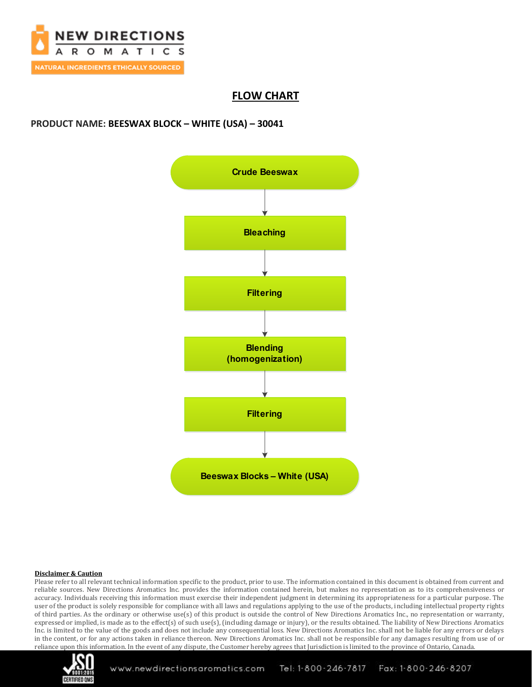

# **FLOW CHART**

### **PRODUCT NAME: BEESWAX BLOCK – WHITE (USA) – 30041**



#### **Disclaimer & Caution**

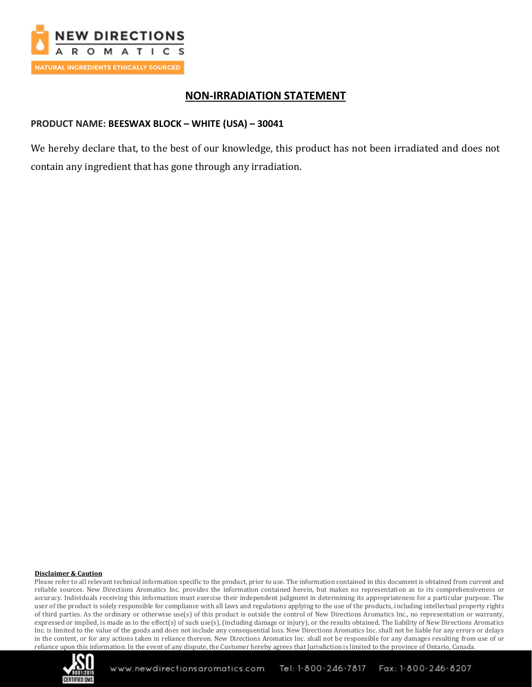

## **NON-IRRADIATION STATEMENT**

### **PRODUCT NAME: BEESWAX BLOCK – WHITE (USA) – 30041**

We hereby declare that, to the best of our knowledge, this product has not been irradiated and does not contain any ingredient that has gone through any irradiation.

#### **Disclaimer & Caution**

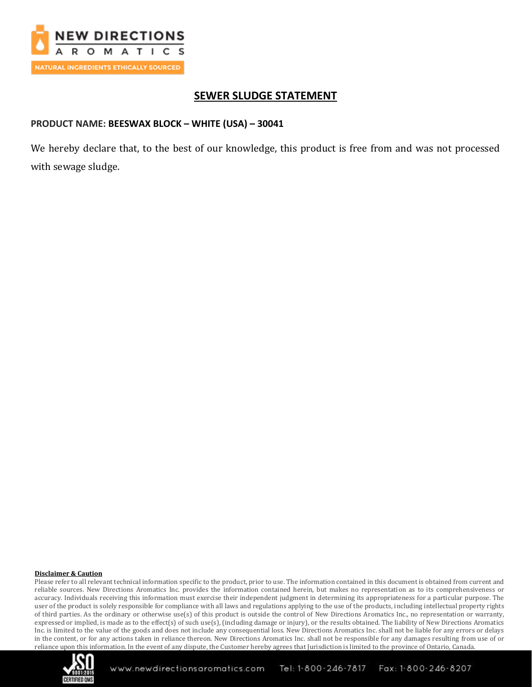

# **SEWER SLUDGE STATEMENT**

#### **PRODUCT NAME: BEESWAX BLOCK – WHITE (USA) – 30041**

We hereby declare that, to the best of our knowledge, this product is free from and was not processed with sewage sludge.

#### **Disclaimer & Caution**

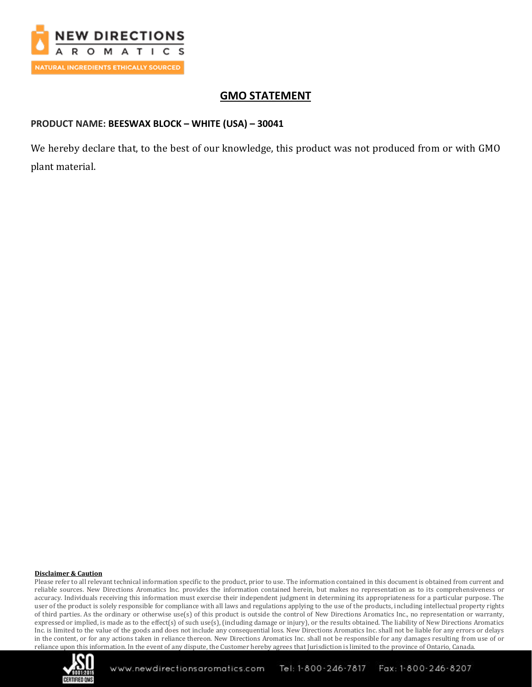

## **GMO STATEMENT**

### **PRODUCT NAME: BEESWAX BLOCK – WHITE (USA) – 30041**

We hereby declare that, to the best of our knowledge, this product was not produced from or with GMO plant material.

#### **Disclaimer & Caution**

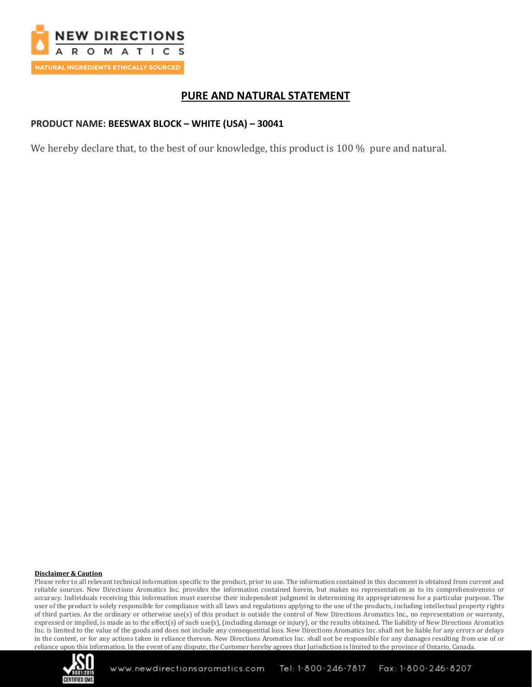

## **PURE AND NATURAL STATEMENT**

### **PRODUCT NAME: BEESWAX BLOCK – WHITE (USA) – 30041**

We hereby declare that, to the best of our knowledge, this product is 100 % pure and natural.

#### **Disclaimer & Caution**

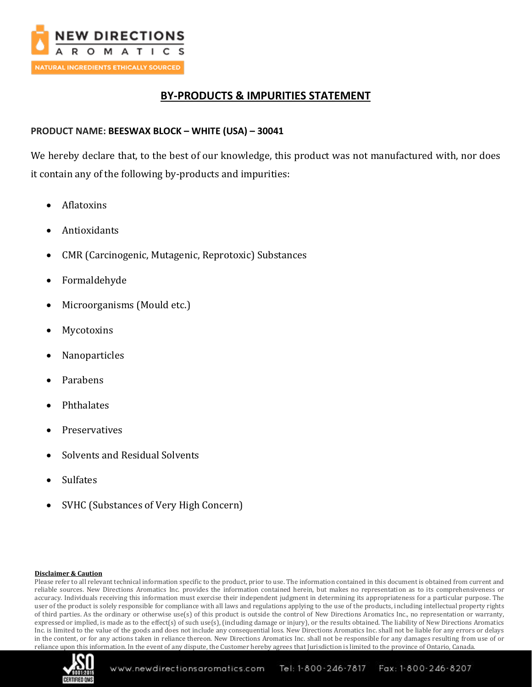

## **BY-PRODUCTS & IMPURITIES STATEMENT**

### **PRODUCT NAME: BEESWAX BLOCK – WHITE (USA) – 30041**

We hereby declare that, to the best of our knowledge, this product was not manufactured with, nor does it contain any of the following by-products and impurities:

- Aflatoxins
- Antioxidants
- CMR (Carcinogenic, Mutagenic, Reprotoxic) Substances
- Formaldehyde
- Microorganisms (Mould etc.)
- **Mycotoxins**
- Nanoparticles
- Parabens
- Phthalates
- **Preservatives**
- Solvents and Residual Solvents
- **Sulfates**
- SVHC (Substances of Very High Concern)

#### **Disclaimer & Caution**

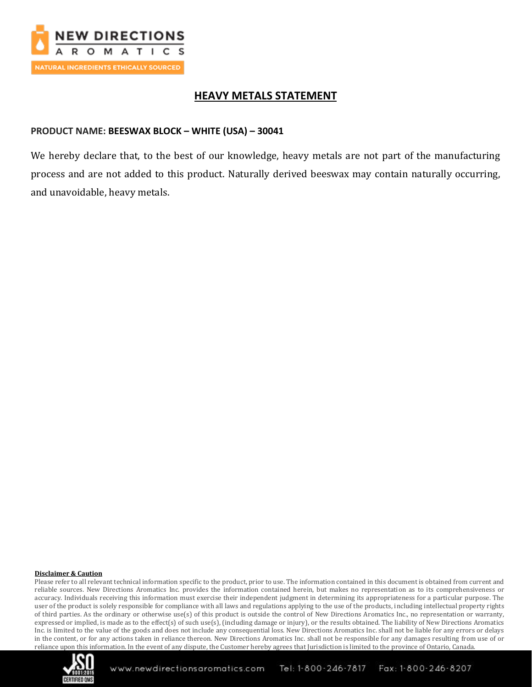

## **HEAVY METALS STATEMENT**

### **PRODUCT NAME: BEESWAX BLOCK – WHITE (USA) – 30041**

We hereby declare that, to the best of our knowledge, heavy metals are not part of the manufacturing process and are not added to this product. Naturally derived beeswax may contain naturally occurring, and unavoidable, heavy metals.

#### **Disclaimer & Caution**

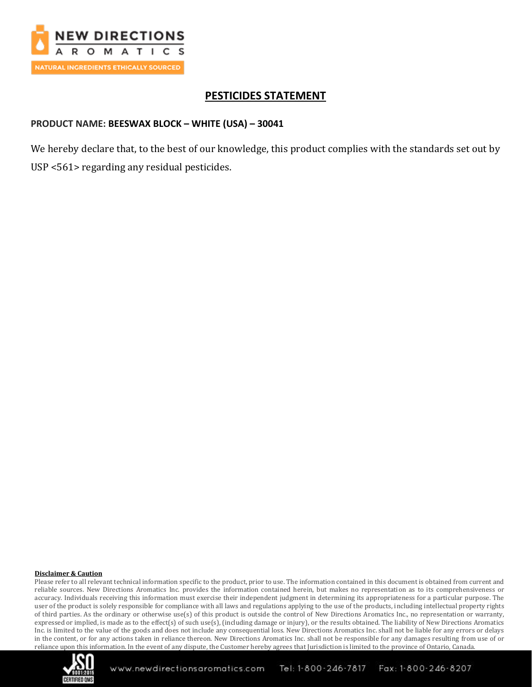

# **PESTICIDES STATEMENT**

### **PRODUCT NAME: BEESWAX BLOCK – WHITE (USA) – 30041**

We hereby declare that, to the best of our knowledge, this product complies with the standards set out by USP <561> regarding any residual pesticides.

#### **Disclaimer & Caution**

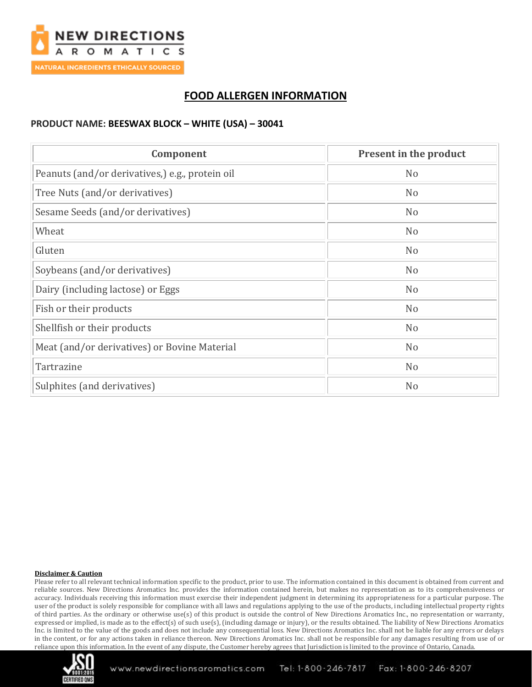

# **FOOD ALLERGEN INFORMATION**

#### **PRODUCT NAME: BEESWAX BLOCK – WHITE (USA) – 30041**

| Component                                       | Present in the product |
|-------------------------------------------------|------------------------|
| Peanuts (and/or derivatives,) e.g., protein oil | N <sub>o</sub>         |
| Tree Nuts (and/or derivatives)                  | N <sub>o</sub>         |
| Sesame Seeds (and/or derivatives)               | N <sub>o</sub>         |
| Wheat                                           | N <sub>o</sub>         |
| Gluten                                          | N <sub>o</sub>         |
| Soybeans (and/or derivatives)                   | N <sub>o</sub>         |
| Dairy (including lactose) or Eggs               | N <sub>o</sub>         |
| Fish or their products                          | N <sub>o</sub>         |
| Shellfish or their products                     | N <sub>o</sub>         |
| Meat (and/or derivatives) or Bovine Material    | N <sub>o</sub>         |
| Tartrazine                                      | N <sub>o</sub>         |
| Sulphites (and derivatives)                     | N <sub>o</sub>         |

#### **Disclaimer & Caution**

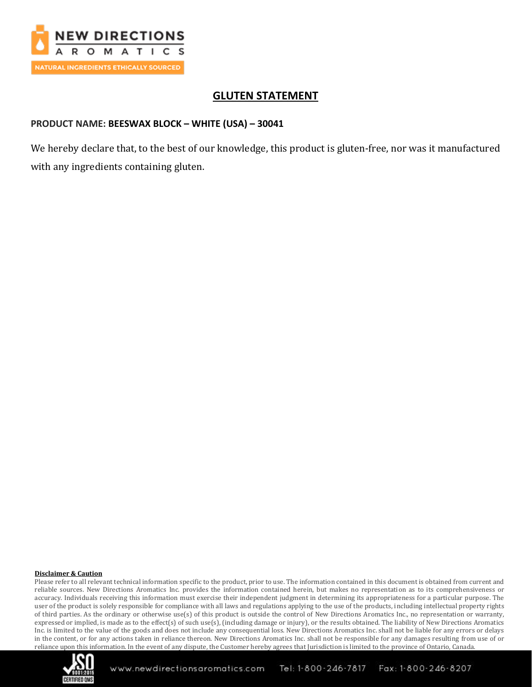

# **GLUTEN STATEMENT**

### **PRODUCT NAME: BEESWAX BLOCK – WHITE (USA) – 30041**

We hereby declare that, to the best of our knowledge, this product is gluten-free, nor was it manufactured with any ingredients containing gluten.

#### **Disclaimer & Caution**

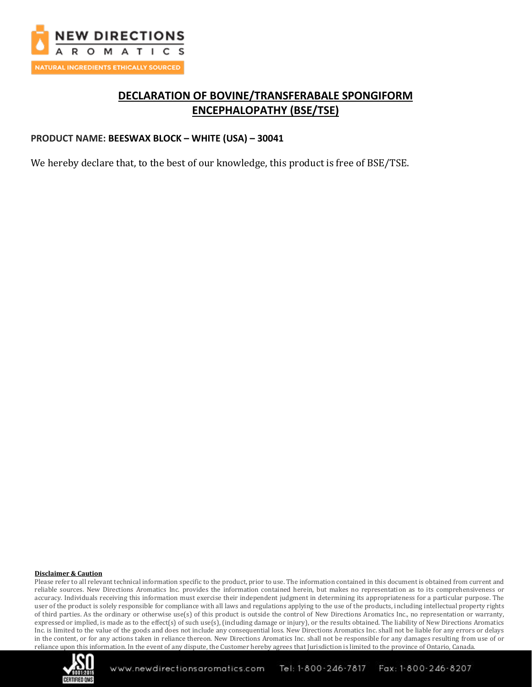

# **DECLARATION OF BOVINE/TRANSFERABALE SPONGIFORM ENCEPHALOPATHY (BSE/TSE)**

#### **PRODUCT NAME: BEESWAX BLOCK – WHITE (USA) – 30041**

We hereby declare that, to the best of our knowledge, this product is free of BSE/TSE.

#### **Disclaimer & Caution**

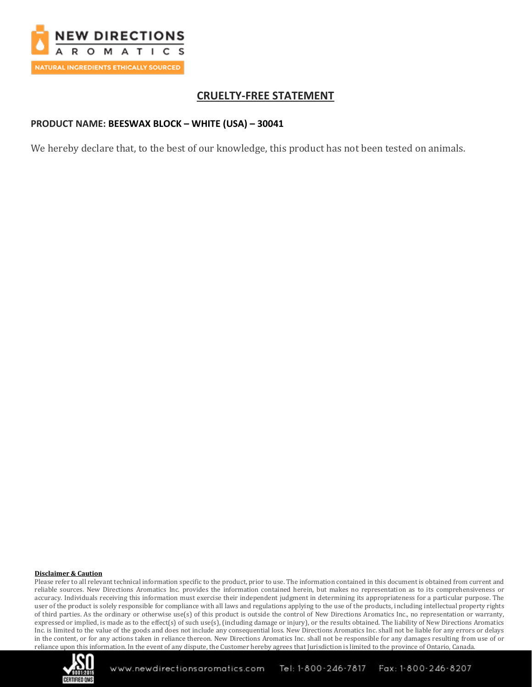

# **CRUELTY-FREE STATEMENT**

### **PRODUCT NAME: BEESWAX BLOCK – WHITE (USA) – 30041**

We hereby declare that, to the best of our knowledge, this product has not been tested on animals.

#### **Disclaimer & Caution**

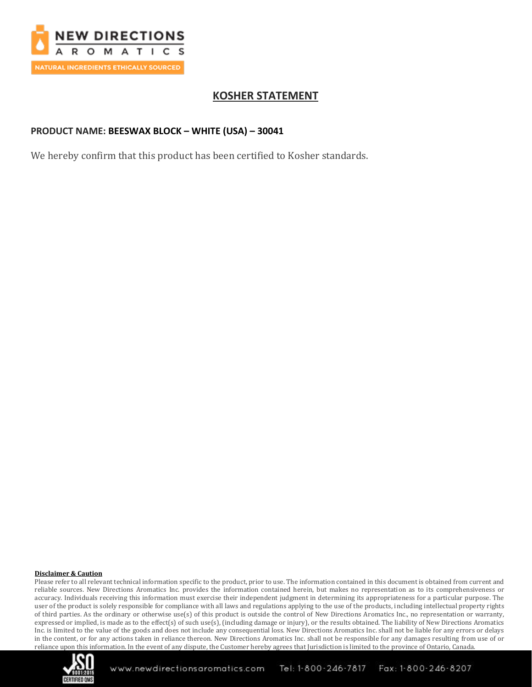

# **KOSHER STATEMENT**

### **PRODUCT NAME: BEESWAX BLOCK – WHITE (USA) – 30041**

We hereby confirm that this product has been certified to Kosher standards.

#### **Disclaimer & Caution**

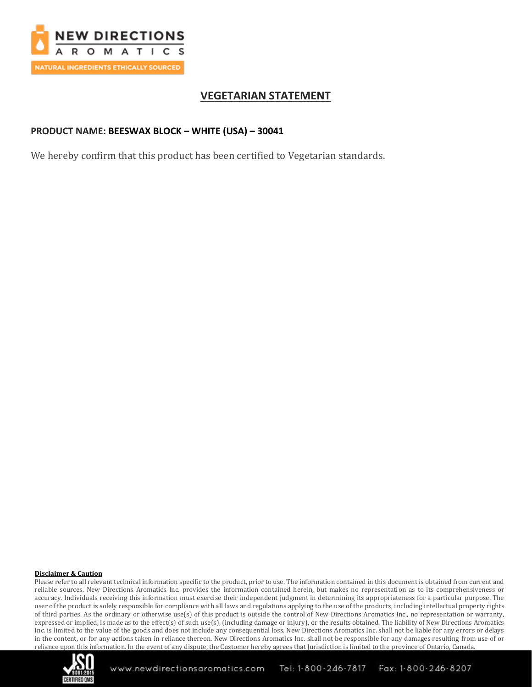

# **VEGETARIAN STATEMENT**

### **PRODUCT NAME: BEESWAX BLOCK – WHITE (USA) – 30041**

We hereby confirm that this product has been certified to Vegetarian standards.

#### **Disclaimer & Caution**

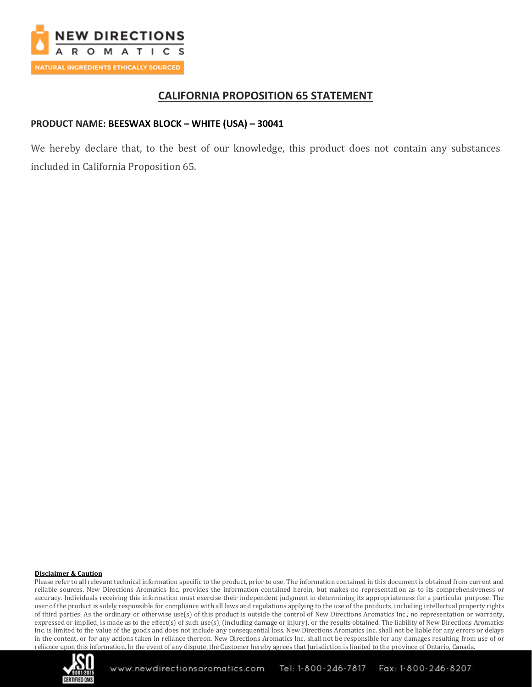

## **CALIFORNIA PROPOSITION 65 STATEMENT**

### **PRODUCT NAME: BEESWAX BLOCK – WHITE (USA) – 30041**

We hereby declare that, to the best of our knowledge, this product does not contain any substances included in California Proposition 65.

#### **Disclaimer & Caution**